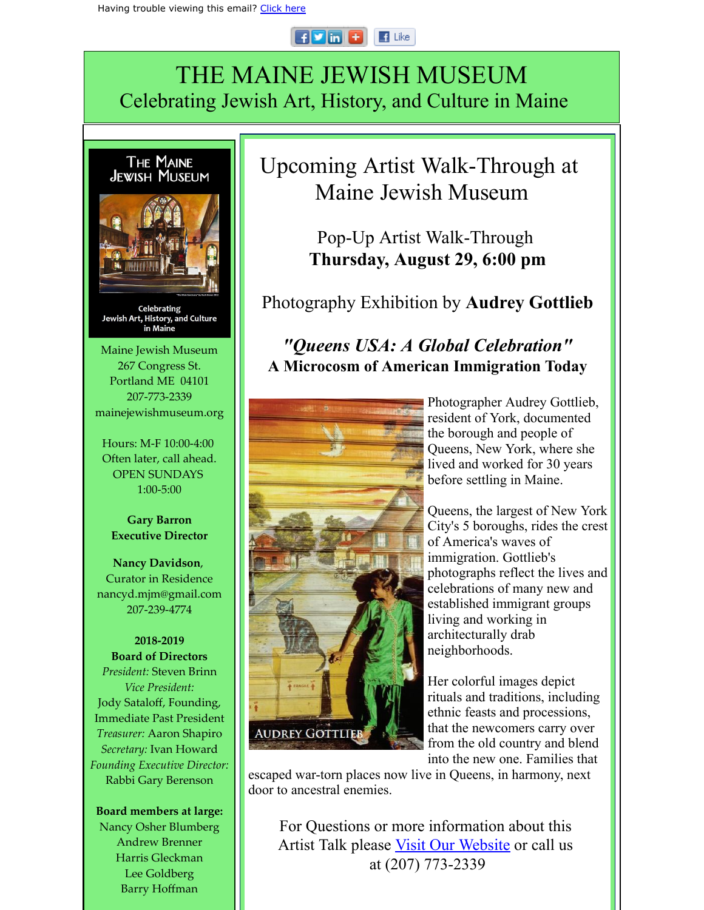## $F$  in  $F$  $\blacksquare$  Like

## THE MAINE JEWISH MUSEUM Celebrating Jewish Art, History, and Culture in Maine



Barry Hoffman

Upcoming Artist Walk-Through at Maine Jewish Museum

> Pop-Up Artist Walk-Through **Thursday, August 29, 6:00 pm**

Photography Exhibition by **Audrey Gottlieb**

## *"Queens USA: A Global Celebration"* **A Microcosm of American Immigration Today**



Photographer Audrey Gottlieb, resident of York, documented the borough and people of Queens, New York, where she lived and worked for 30 years before settling in Maine.

Queens, the largest of New York City's 5 boroughs, rides the crest of America's waves of immigration. Gottlieb's photographs reflect the lives and celebrations of many new and established immigrant groups living and working in architecturally drab neighborhoods.

Her colorful images depict rituals and traditions, including ethnic feasts and processions, that the newcomers carry over from the old country and blend into the new one. Families that

 escaped war-torn places now live in Queens, in harmony, next door to ancestral enemies.

For Questions or more information about this Artist Talk please Visit Our [Website](http://r20.rs6.net/tn.jsp?f=0019XvSMKG3SzC8uLuGxYmR-pitTIIONiu-LM_QdfmEbPul9EIvjX3SM4Y4F7h1K7og4uJ8IgmU008MAoJCAAOkQ0brJHhJedrNA9smIlAb0nyqEN31CzU2v4u6cvoOd9lWJAzMQatLN7dYsfMsjUpSyeqQBrHtc2AuDnMIOHerby9FZkcUGvgZYg==&c=jMTPF21s1-2cpzuBJFYd25YneTm6jgMIKJlyTcm9UBIl3SoovyuGFQ==&ch=K-BPv0tqvaI3qlo_eVucuPuGGppvSTII_X_G3aAIB-QwLgOr4ydqeg==) or call us at (207) 773-2339